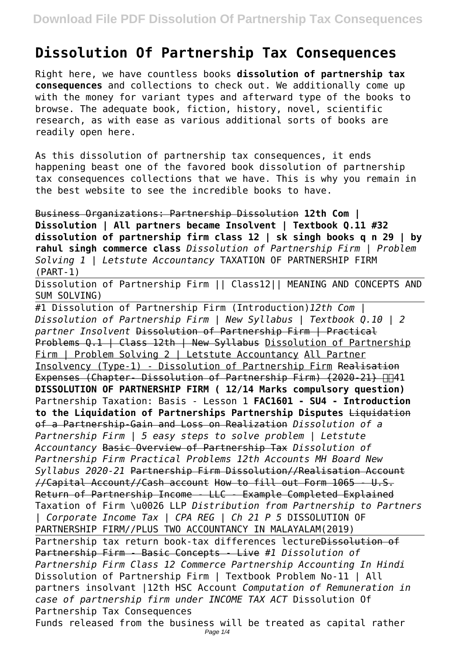## **Dissolution Of Partnership Tax Consequences**

Right here, we have countless books **dissolution of partnership tax consequences** and collections to check out. We additionally come up with the money for variant types and afterward type of the books to browse. The adequate book, fiction, history, novel, scientific research, as with ease as various additional sorts of books are readily open here.

As this dissolution of partnership tax consequences, it ends happening beast one of the favored book dissolution of partnership tax consequences collections that we have. This is why you remain in the best website to see the incredible books to have.

Business Organizations: Partnership Dissolution **12th Com | Dissolution | All partners became Insolvent | Textbook Q.11 #32 dissolution of partnership firm class 12 | sk singh books q n 29 | by rahul singh commerce class** *Dissolution of Partnership Firm | Problem Solving 1 | Letstute Accountancy* TAXATION OF PARTNERSHIP FIRM (PART-1)

Dissolution of Partnership Firm || Class12|| MEANING AND CONCEPTS AND SUM SOLVING)

#1 Dissolution of Partnership Firm (Introduction)*12th Com | Dissolution of Partnership Firm | New Syllabus | Textbook Q.10 | 2 partner Insolvent* Dissolution of Partnership Firm | Practical Problems Q.1 | Class 12th | New Syllabus Dissolution of Partnership Firm | Problem Solving 2 | Letstute Accountancy All Partner Insolvency (Type-1) - Dissolution of Partnership Firm Realisation Expenses (Chapter- Dissolution of Partnership Firm) (2020-21)  $\Box$ **DISSOLUTION OF PARTNERSHIP FIRM ( 12/14 Marks compulsory question)** Partnership Taxation: Basis - Lesson 1 **FAC1601 - SU4 - Introduction to the Liquidation of Partnerships Partnership Disputes** Liquidation of a Partnership-Gain and Loss on Realization *Dissolution of a Partnership Firm | 5 easy steps to solve problem | Letstute Accountancy* Basic Overview of Partnership Tax *Dissolution of Partnership Firm Practical Problems 12th Accounts MH Board New Syllabus 2020-21* Partnership Firm Dissolution//Realisation Account //Capital Account//Cash account How to fill out Form 1065 - U.S. Return of Partnership Income - LLC - Example Completed Explained Taxation of Firm \u0026 LLP *Distribution from Partnership to Partners | Corporate Income Tax | CPA REG | Ch 21 P 5* DISSOLUTION OF PARTNERSHIP FIRM//PLUS TWO ACCOUNTANCY IN MALAYALAM(2019) Partnership tax return book-tax differences lectureDissolution of Partnership Firm - Basic Concepts - Live *#1 Dissolution of Partnership Firm Class 12 Commerce Partnership Accounting In Hindi* Dissolution of Partnership Firm | Textbook Problem No-11 | All partners insolvant |12th HSC Account *Computation of Remuneration in case of partnership firm under INCOME TAX ACT* Dissolution Of Partnership Tax Consequences Funds released from the business will be treated as capital rather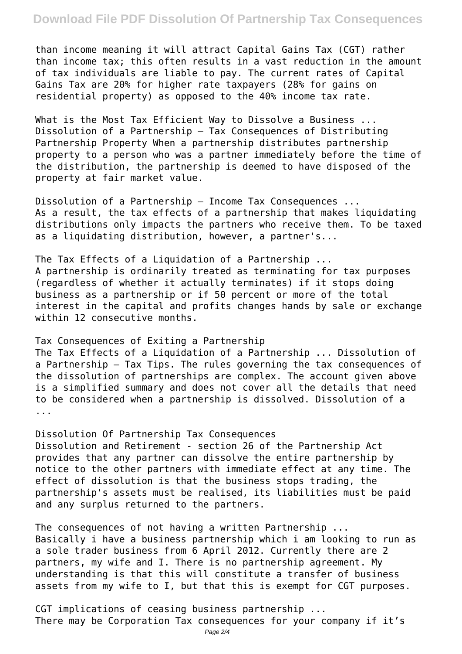## **Download File PDF Dissolution Of Partnership Tax Consequences**

than income meaning it will attract Capital Gains Tax (CGT) rather than income tax; this often results in a vast reduction in the amount of tax individuals are liable to pay. The current rates of Capital Gains Tax are 20% for higher rate taxpayers (28% for gains on residential property) as opposed to the 40% income tax rate.

What is the Most Tax Efficient Way to Dissolve a Business ... Dissolution of a Partnership – Tax Consequences of Distributing Partnership Property When a partnership distributes partnership property to a person who was a partner immediately before the time of the distribution, the partnership is deemed to have disposed of the property at fair market value.

Dissolution of a Partnership – Income Tax Consequences ... As a result, the tax effects of a partnership that makes liquidating distributions only impacts the partners who receive them. To be taxed as a liquidating distribution, however, a partner's...

The Tax Effects of a Liquidation of a Partnership ... A partnership is ordinarily treated as terminating for tax purposes (regardless of whether it actually terminates) if it stops doing business as a partnership or if 50 percent or more of the total interest in the capital and profits changes hands by sale or exchange within 12 consecutive months.

## Tax Consequences of Exiting a Partnership

The Tax Effects of a Liquidation of a Partnership ... Dissolution of a Partnership – Tax Tips. The rules governing the tax consequences of the dissolution of partnerships are complex. The account given above is a simplified summary and does not cover all the details that need to be considered when a partnership is dissolved. Dissolution of a ...

Dissolution Of Partnership Tax Consequences Dissolution and Retirement - section 26 of the Partnership Act provides that any partner can dissolve the entire partnership by notice to the other partners with immediate effect at any time. The effect of dissolution is that the business stops trading, the partnership's assets must be realised, its liabilities must be paid and any surplus returned to the partners.

The consequences of not having a written Partnership ... Basically i have a business partnership which i am looking to run as a sole trader business from 6 April 2012. Currently there are 2 partners, my wife and I. There is no partnership agreement. My understanding is that this will constitute a transfer of business assets from my wife to I, but that this is exempt for CGT purposes.

CGT implications of ceasing business partnership ... There may be Corporation Tax consequences for your company if it's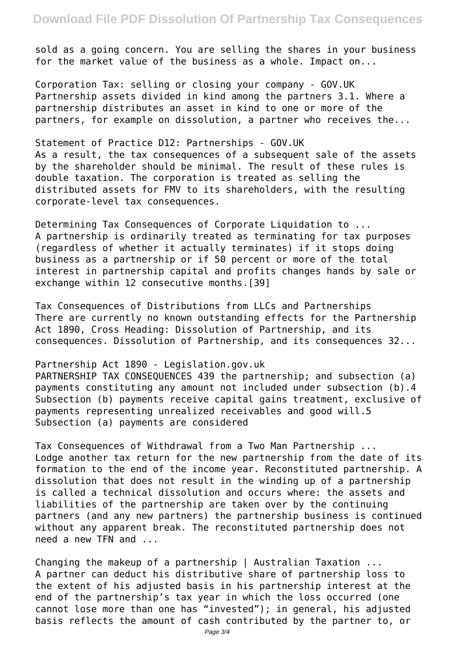sold as a going concern. You are selling the shares in your business for the market value of the business as a whole. Impact on...

Corporation Tax: selling or closing your company - GOV.UK Partnership assets divided in kind among the partners 3.1. Where a partnership distributes an asset in kind to one or more of the partners, for example on dissolution, a partner who receives the...

Statement of Practice D12: Partnerships - GOV.UK As a result, the tax consequences of a subsequent sale of the assets by the shareholder should be minimal. The result of these rules is double taxation. The corporation is treated as selling the distributed assets for FMV to its shareholders, with the resulting corporate-level tax consequences.

Determining Tax Consequences of Corporate Liquidation to ... A partnership is ordinarily treated as terminating for tax purposes (regardless of whether it actually terminates) if it stops doing business as a partnership or if 50 percent or more of the total interest in partnership capital and profits changes hands by sale or exchange within 12 consecutive months.[39]

Tax Consequences of Distributions from LLCs and Partnerships There are currently no known outstanding effects for the Partnership Act 1890, Cross Heading: Dissolution of Partnership, and its consequences. Dissolution of Partnership, and its consequences 32...

Partnership Act 1890 - Legislation.gov.uk

PARTNERSHIP TAX CONSEQUENCES 439 the partnership; and subsection (a) payments constituting any amount not included under subsection (b).4 Subsection (b) payments receive capital gains treatment, exclusive of payments representing unrealized receivables and good will.5 Subsection (a) payments are considered

Tax Consequences of Withdrawal from a Two Man Partnership ... Lodge another tax return for the new partnership from the date of its formation to the end of the income year. Reconstituted partnership. A dissolution that does not result in the winding up of a partnership is called a technical dissolution and occurs where: the assets and liabilities of the partnership are taken over by the continuing partners (and any new partners) the partnership business is continued without any apparent break. The reconstituted partnership does not need a new TFN and ...

Changing the makeup of a partnership | Australian Taxation ... A partner can deduct his distributive share of partnership loss to the extent of his adjusted basis in his partnership interest at the end of the partnership's tax year in which the loss occurred (one cannot lose more than one has "invested"); in general, his adjusted basis reflects the amount of cash contributed by the partner to, or